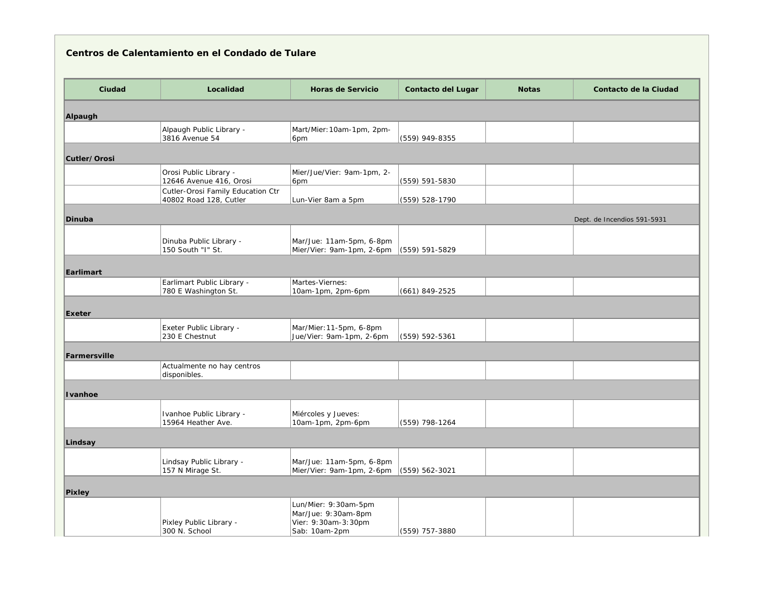| Centros de Calentamiento en el Condado de Tulare |                                                             |                                                                                     |                           |              |                             |  |
|--------------------------------------------------|-------------------------------------------------------------|-------------------------------------------------------------------------------------|---------------------------|--------------|-----------------------------|--|
| Ciudad                                           | Localidad                                                   | <b>Horas de Servicio</b>                                                            | <b>Contacto del Lugar</b> | <b>Notas</b> | Contacto de la Ciudad       |  |
| Alpaugh                                          |                                                             |                                                                                     |                           |              |                             |  |
|                                                  | Alpaugh Public Library -<br>3816 Avenue 54                  | Mart/Mier: 10am-1pm, 2pm-<br>6pm                                                    | (559) 949-8355            |              |                             |  |
| Cutler/Orosi                                     |                                                             |                                                                                     |                           |              |                             |  |
|                                                  | Orosi Public Library -<br>12646 Avenue 416, Orosi           | Mier/Jue/Vier: 9am-1pm, 2-<br>6pm                                                   | (559) 591-5830            |              |                             |  |
|                                                  | Cutler-Orosi Family Education Ctr<br>40802 Road 128, Cutler | Lun-Vier 8am a 5pm                                                                  | (559) 528-1790            |              |                             |  |
| <b>Dinuba</b>                                    |                                                             |                                                                                     |                           |              | Dept. de Incendios 591-5931 |  |
|                                                  | Dinuba Public Library -<br>150 South "I" St.                | Mar/Jue: 11am-5pm, 6-8pm<br>Mier/Vier: 9am-1pm, 2-6pm                               | $(559) 591 - 5829$        |              |                             |  |
| Earlimart                                        |                                                             |                                                                                     |                           |              |                             |  |
|                                                  | Earlimart Public Library -<br>780 E Washington St.          | Martes-Viernes:<br>10am-1pm, 2pm-6pm                                                | $(661) 849 - 2525$        |              |                             |  |
| Exeter                                           |                                                             |                                                                                     |                           |              |                             |  |
|                                                  | Exeter Public Library -<br>230 E Chestnut                   | Mar/Mier: 11-5pm, 6-8pm<br>Jue/Vier: 9am-1pm, 2-6pm                                 | (559) 592-5361            |              |                             |  |
| Farmersville                                     |                                                             |                                                                                     |                           |              |                             |  |
|                                                  | Actualmente no hay centros<br>disponibles.                  |                                                                                     |                           |              |                             |  |
| Ivanhoe                                          |                                                             |                                                                                     |                           |              |                             |  |
|                                                  | Ivanhoe Public Library -<br>15964 Heather Ave.              | Miércoles y Jueves:<br>10am-1pm, 2pm-6pm                                            | (559) 798-1264            |              |                             |  |
| Lindsay                                          |                                                             |                                                                                     |                           |              |                             |  |
|                                                  | Lindsay Public Library -<br>157 N Mirage St.                | Mar/Jue: 11am-5pm, 6-8pm<br>Mier/Vier: 9am-1pm, 2-6pm                               | (559) 562-3021            |              |                             |  |
| <b>Pixley</b>                                    |                                                             |                                                                                     |                           |              |                             |  |
|                                                  | Pixley Public Library -<br>300 N. School                    | Lun/Mier: 9:30am-5pm<br>Mar/Jue: 9:30am-8pm<br>Vier: 9:30am-3:30pm<br>Sab: 10am-2pm | (559) 757-3880            |              |                             |  |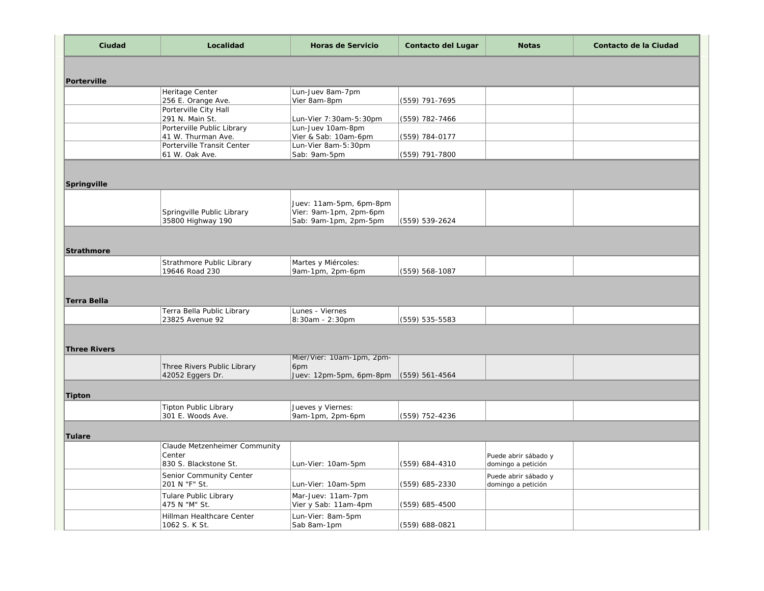| Ciudad              | Localidad                                       | <b>Horas de Servicio</b>            | <b>Contacto del Lugar</b> | <b>Notas</b>         | Contacto de la Ciudad |
|---------------------|-------------------------------------------------|-------------------------------------|---------------------------|----------------------|-----------------------|
|                     |                                                 |                                     |                           |                      |                       |
| Porterville         |                                                 |                                     |                           |                      |                       |
|                     | Heritage Center                                 | Lun-Juev 8am-7pm                    |                           |                      |                       |
|                     | 256 E. Orange Ave.<br>Porterville City Hall     | Vier 8am-8pm                        | (559) 791-7695            |                      |                       |
|                     | 291 N. Main St.                                 | Lun-Vier 7:30am-5:30pm              | (559) 782-7466            |                      |                       |
|                     | Porterville Public Library                      | Lun-Juev 10am-8pm                   |                           |                      |                       |
|                     | 41 W. Thurman Ave.                              | Vier & Sab: 10am-6pm                | (559) 784-0177            |                      |                       |
|                     | Porterville Transit Center<br>61 W. Oak Ave.    | Lun-Vier 8am-5:30pm<br>Sab: 9am-5pm | (559) 791-7800            |                      |                       |
|                     |                                                 |                                     |                           |                      |                       |
|                     |                                                 |                                     |                           |                      |                       |
| Springville         |                                                 |                                     |                           |                      |                       |
|                     |                                                 | Juev: 11am-5pm, 6pm-8pm             |                           |                      |                       |
|                     | Springville Public Library                      | Vier: 9am-1pm, 2pm-6pm              |                           |                      |                       |
|                     | 35800 Highway 190                               | Sab: 9am-1pm, 2pm-5pm               | (559) 539-2624            |                      |                       |
|                     |                                                 |                                     |                           |                      |                       |
| <b>Strathmore</b>   |                                                 |                                     |                           |                      |                       |
|                     | Strathmore Public Library                       | Martes y Miércoles:                 |                           |                      |                       |
|                     | 19646 Road 230                                  | 9am-1pm, 2pm-6pm                    | (559) 568-1087            |                      |                       |
|                     |                                                 |                                     |                           |                      |                       |
|                     |                                                 |                                     |                           |                      |                       |
| <b>Terra Bella</b>  |                                                 |                                     |                           |                      |                       |
|                     | Terra Bella Public Library<br>23825 Avenue 92   | Lunes - Viernes<br>8:30am - 2:30pm  | (559) 535-5583            |                      |                       |
|                     |                                                 |                                     |                           |                      |                       |
|                     |                                                 |                                     |                           |                      |                       |
| <b>Three Rivers</b> |                                                 |                                     |                           |                      |                       |
|                     |                                                 | Mier/Vier: 10am-1pm, 2pm-           |                           |                      |                       |
|                     | Three Rivers Public Library<br>42052 Eggers Dr. | 6pm<br>Juev: 12pm-5pm, 6pm-8pm      | $(559) 561 - 4564$        |                      |                       |
|                     |                                                 |                                     |                           |                      |                       |
| <b>Tipton</b>       |                                                 |                                     |                           |                      |                       |
|                     | <b>Tipton Public Library</b>                    | Jueves y Viernes:                   |                           |                      |                       |
|                     | 301 E. Woods Ave.                               | 9am-1pm, 2pm-6pm                    | (559) 752-4236            |                      |                       |
|                     |                                                 |                                     |                           |                      |                       |
| Tulare              | Claude Metzenheimer Community                   |                                     |                           |                      |                       |
|                     | Center                                          |                                     |                           | Puede abrir sábado y |                       |
|                     | 830 S. Blackstone St.                           | Lun-Vier: 10am-5pm                  | (559) 684-4310            | domingo a petición   |                       |
|                     | Senior Community Center                         |                                     |                           | Puede abrir sábado y |                       |
|                     | 201 N "F" St.                                   | Lun-Vier: 10am-5pm                  | (559) 685-2330            | domingo a petición   |                       |
|                     | Tulare Public Library                           | Mar-Juev: 11am-7pm                  |                           |                      |                       |
|                     | 475 N "M" St.                                   | Vier y Sab: 11am-4pm                | (559) 685-4500            |                      |                       |
|                     | Hillman Healthcare Center                       | Lun-Vier: 8am-5pm                   |                           |                      |                       |
|                     | 1062 S. K St.                                   | Sab 8am-1pm                         | (559) 688-0821            |                      |                       |